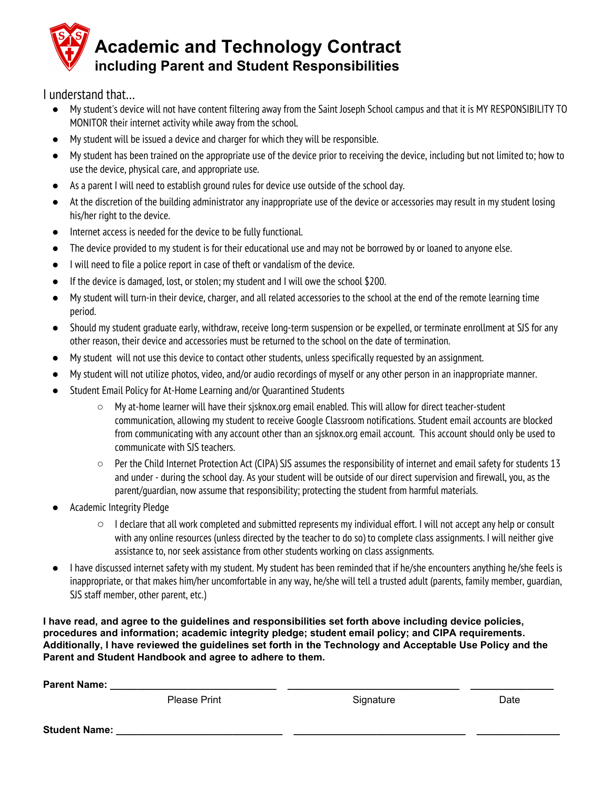

I understand that…

- My student's device will not have content filtering away from the Saint Joseph School campus and that it is MY RESPONSIBILITY TO MONITOR their internet activity while away from the school.
- My student will be issued a device and charger for which they will be responsible.
- My student has been trained on the appropriate use of the device prior to receiving the device, including but not limited to; how to use the device, physical care, and appropriate use.
- As a parent I will need to establish ground rules for device use outside of the school day.
- At the discretion of the building administrator any inappropriate use of the device or accessories may result in my student losing his/her right to the device.
- Internet access is needed for the device to be fully functional.
- The device provided to my student is for their educational use and may not be borrowed by or loaned to anyone else.
- I will need to file a police report in case of theft or vandalism of the device.
- If the device is damaged, lost, or stolen; my student and I will owe the school \$200.
- My student will turn-in their device, charger, and all related accessories to the school at the end of the remote learning time period.
- Should my student graduate early, withdraw, receive long-term suspension or be expelled, or terminate enrollment at SJS for any other reason, their device and accessories must be returned to the school on the date of termination.
- My student will not use this device to contact other students, unless specifically requested by an assignment.
- My student will not utilize photos, video, and/or audio recordings of myself or any other person in an inappropriate manner.
- Student Email Policy for At-Home Learning and/or Quarantined Students
	- My at-home learner will have their sjsknox.org email enabled. This will allow for direct teacher-student communication, allowing my student to receive Google Classroom notifications. Student email accounts are blocked from communicating with any account other than an sjsknox.org email account. This account should only be used to communicate with SJS teachers.
	- $\circ$  Per the Child Internet Protection Act (CIPA) SJS assumes the responsibility of internet and email safety for students 13 and under - during the school day. As your student will be outside of our direct supervision and firewall, you, as the parent/guardian, now assume that responsibility; protecting the student from harmful materials.
- Academic Integrity Pledge
	- $\circ$  I declare that all work completed and submitted represents my individual effort. I will not accept any help or consult with any online resources (unless directed by the teacher to do so) to complete class assignments. I will neither give assistance to, nor seek assistance from other students working on class assignments.
- I have discussed internet safety with my student. My student has been reminded that if he/she encounters anything he/she feels is inappropriate, or that makes him/her uncomfortable in any way, he/she will tell a trusted adult (parents, family member, guardian, SJS staff member, other parent, etc.)

**I have read, and agree to the guidelines and responsibilities set forth above including device policies, procedures and information; academic integrity pledge; student email policy; and CIPA requirements.** Additionally, I have reviewed the guidelines set forth in the Technology and Acceptable Use Policy and the **Parent and Student Handbook and agree to adhere to them.**

| Parent Name:         |              |           |      |
|----------------------|--------------|-----------|------|
|                      | Please Print | Signature | Date |
| <b>Student Name:</b> |              |           |      |